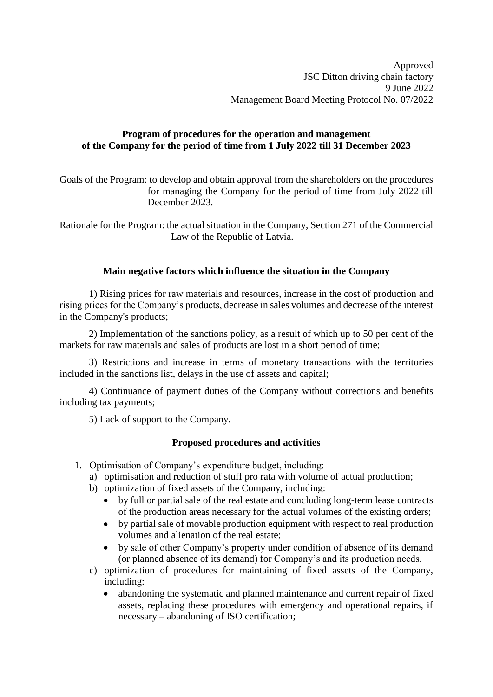# **Program of procedures for the operation and management of the Company for the period of time from 1 July 2022 till 31 December 2023**

Goals of the Program: to develop and obtain approval from the shareholders on the procedures for managing the Company for the period of time from July 2022 till December 2023.

Rationale for the Program: the actual situation in the Company, Section 271 of the Commercial Law of the Republic of Latvia.

### **Main negative factors which influence the situation in the Company**

1) Rising prices for raw materials and resources, increase in the cost of production and rising prices for the Company's products, decrease in sales volumes and decrease of the interest in the Company's products;

2) Implementation of the sanctions policy, as a result of which up to 50 per cent of the markets for raw materials and sales of products are lost in a short period of time;

3) Restrictions and increase in terms of monetary transactions with the territories included in the sanctions list, delays in the use of assets and capital;

4) Continuance of payment duties of the Company without corrections and benefits including tax payments;

5) Lack of support to the Company.

# **Proposed procedures and activities**

- 1. Optimisation of Company's expenditure budget, including:
	- a) optimisation and reduction of stuff pro rata with volume of actual production;
	- b) optimization of fixed assets of the Company, including:
		- by full or partial sale of the real estate and concluding long-term lease contracts of the production areas necessary for the actual volumes of the existing orders;
		- by partial sale of movable production equipment with respect to real production volumes and alienation of the real estate;
		- by sale of other Company's property under condition of absence of its demand (or planned absence of its demand) for Company's and its production needs.
	- c) optimization of procedures for maintaining of fixed assets of the Company, including:
		- abandoning the systematic and planned maintenance and current repair of fixed assets, replacing these procedures with emergency and operational repairs, if necessary – abandoning of ISO certification;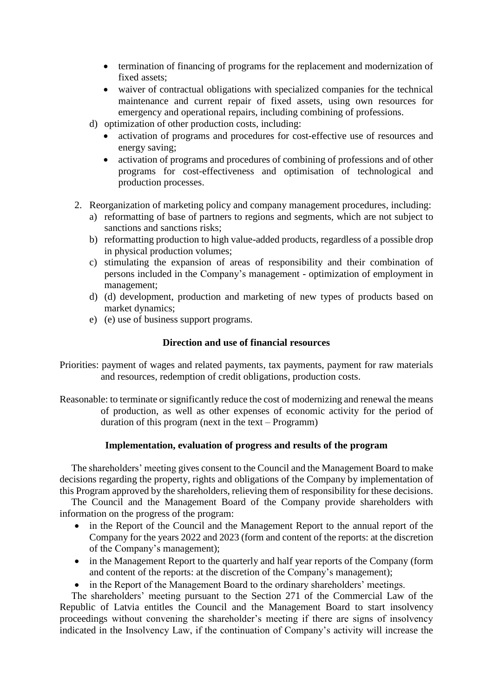- termination of financing of programs for the replacement and modernization of fixed assets;
- waiver of contractual obligations with specialized companies for the technical maintenance and current repair of fixed assets, using own resources for emergency and operational repairs, including combining of professions.
- d) optimization of other production costs, including:
	- activation of programs and procedures for cost-effective use of resources and energy saving;
	- activation of programs and procedures of combining of professions and of other programs for cost-effectiveness and optimisation of technological and production processes.
- 2. Reorganization of marketing policy and company management procedures, including:
	- a) reformatting of base of partners to regions and segments, which are not subject to sanctions and sanctions risks;
	- b) reformatting production to high value-added products, regardless of a possible drop in physical production volumes;
	- c) stimulating the expansion of areas of responsibility and their combination of persons included in the Company's management - optimization of employment in management;
	- d) (d) development, production and marketing of new types of products based on market dynamics;
	- e) (e) use of business support programs.

#### **Direction and use of financial resources**

- Priorities: payment of wages and related payments, tax payments, payment for raw materials and resources, redemption of credit obligations, production costs.
- Reasonable: to terminate or significantly reduce the cost of modernizing and renewal the means of production, as well as other expenses of economic activity for the period of duration of this program (next in the text – Programm)

#### **Implementation, evaluation of progress and results of the program**

The shareholders' meeting gives consent to the Council and the Management Board to make decisions regarding the property, rights and obligations of the Company by implementation of this Program approved by the shareholders, relieving them of responsibility for these decisions.

The Council and the Management Board of the Company provide shareholders with information on the progress of the program:

- in the Report of the Council and the Management Report to the annual report of the Company for the years 2022 and 2023 (form and content of the reports: at the discretion of the Company's management);
- in the Management Report to the quarterly and half year reports of the Company (form and content of the reports: at the discretion of the Company's management);
- in the Report of the Management Board to the ordinary shareholders' meetings.

The shareholders' meeting pursuant to the Section 271 of the Commercial Law of the Republic of Latvia entitles the Council and the Management Board to start insolvency proceedings without convening the shareholder's meeting if there are signs of insolvency indicated in the Insolvency Law, if the continuation of Company's activity will increase the